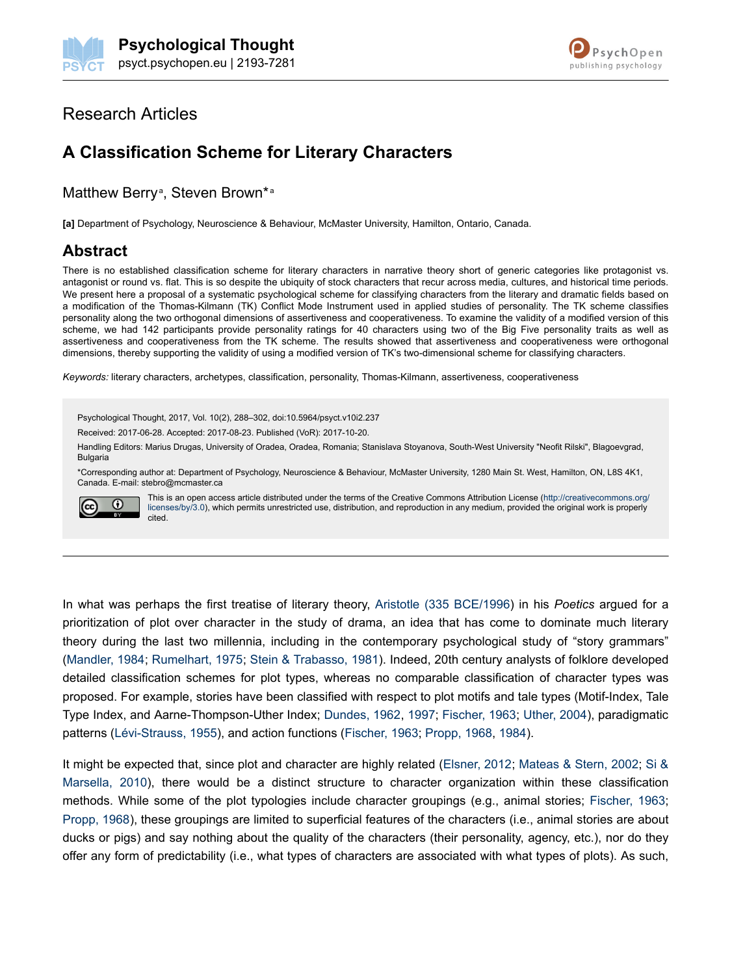

# Research Articles

# **A Classification Scheme for Literary Characters**

### Matthew Berry<sup>a</sup>, Steven Brown\*a

**[a]** Department of Psychology, Neuroscience & Behaviour, McMaster University, Hamilton, Ontario, Canada.

# **Abstract**

There is no established classification scheme for literary characters in narrative theory short of generic categories like protagonist vs. antagonist or round vs. flat. This is so despite the ubiquity of stock characters that recur across media, cultures, and historical time periods. We present here a proposal of a systematic psychological scheme for classifying characters from the literary and dramatic fields based on a modification of the Thomas-Kilmann (TK) Conflict Mode Instrument used in applied studies of personality. The TK scheme classifies personality along the two orthogonal dimensions of assertiveness and cooperativeness. To examine the validity of a modified version of this scheme, we had 142 participants provide personality ratings for 40 characters using two of the Big Five personality traits as well as assertiveness and cooperativeness from the TK scheme. The results showed that assertiveness and cooperativeness were orthogonal dimensions, thereby supporting the validity of using a modified version of TK's two-dimensional scheme for classifying characters.

*Keywords:* literary characters, archetypes, classification, personality, Thomas-Kilmann, assertiveness, cooperativeness

Psychological Thought, 2017, Vol. 10(2), 288–302, doi:10.5964/psyct.v10i2.237 Received: 2017-06-28. Accepted: 2017-08-23. Published (VoR): 2017-10-20.

Handling Editors: Marius Drugas, University of Oradea, Oradea, Romania; Stanislava Stoyanova, South-West University "Neofit Rilski", Blagoevgrad, Bulgaria

\*Corresponding author at: Department of Psychology, Neuroscience & Behaviour, McMaster University, 1280 Main St. West, Hamilton, ON, L8S 4K1, Canada. E-mail: stebro@mcmaster.ca



This is an open access article distributed under the terms of the Creative Commons Attribution License [\(http://creativecommons.org/](http://creativecommons.org/licenses/by/3.0) [licenses/by/3.0\)](http://creativecommons.org/licenses/by/3.0), which permits unrestricted use, distribution, and reproduction in any medium, provided the original work is properly cited.

In what was perhaps the first treatise of literary theory, [Aristotle \(335 BCE/1996](#page-11-0)) in his *Poetics* argued for a prioritization of plot over character in the study of drama, an idea that has come to dominate much literary theory during the last two millennia, including in the contemporary psychological study of "story grammars" [\(Mandler, 1984;](#page-12-0) [Rumelhart, 1975;](#page-13-0) [Stein & Trabasso, 1981](#page-13-0)). Indeed, 20th century analysts of folklore developed detailed classification schemes for plot types, whereas no comparable classification of character types was proposed. For example, stories have been classified with respect to plot motifs and tale types (Motif-Index, Tale Type Index, and Aarne-Thompson-Uther Index; [Dundes, 1962](#page-11-0), [1997](#page-11-0); [Fischer, 1963](#page-11-0); [Uther, 2004\)](#page-13-0), paradigmatic patterns [\(Lévi-Strauss, 1955\)](#page-12-0), and action functions ([Fischer, 1963;](#page-11-0) [Propp, 1968, 1984](#page-12-0)).

It might be expected that, since plot and character are highly related ([Elsner, 2012;](#page-11-0) [Mateas & Stern, 2002;](#page-12-0) [Si &](#page-13-0) [Marsella, 2010\)](#page-13-0), there would be a distinct structure to character organization within these classification methods. While some of the plot typologies include character groupings (e.g., animal stories; [Fischer, 1963](#page-11-0); [Propp, 1968\)](#page-12-0), these groupings are limited to superficial features of the characters (i.e., animal stories are about ducks or pigs) and say nothing about the quality of the characters (their personality, agency, etc.), nor do they offer any form of predictability (i.e., what types of characters are associated with what types of plots). As such,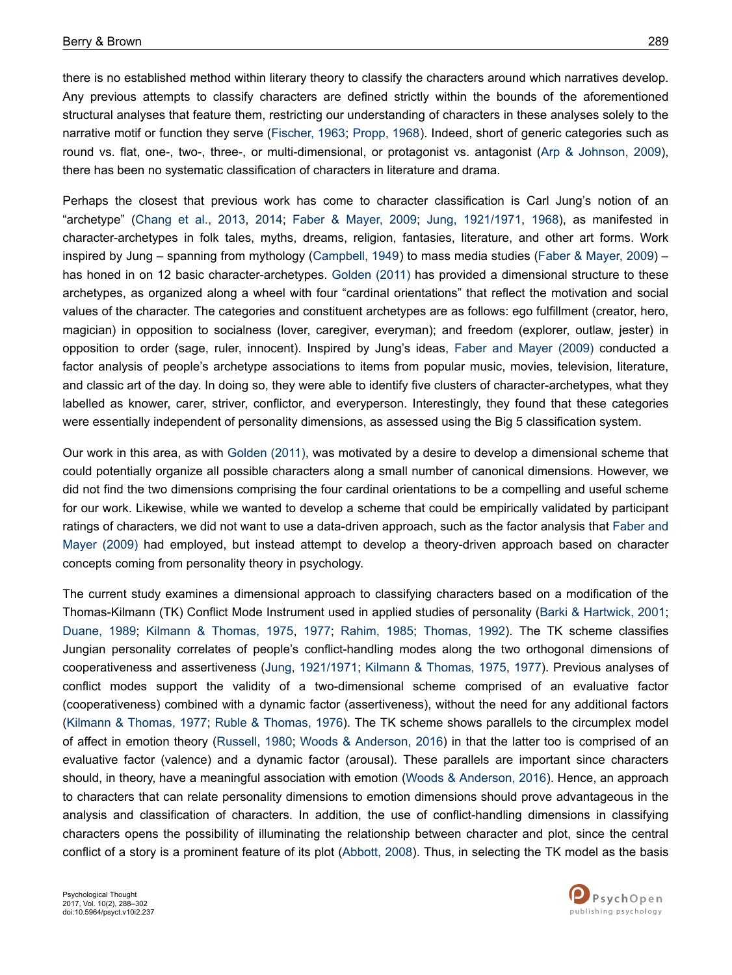there is no established method within literary theory to classify the characters around which narratives develop. Any previous attempts to classify characters are defined strictly within the bounds of the aforementioned structural analyses that feature them, restricting our understanding of characters in these analyses solely to the narrative motif or function they serve ([Fischer, 1963](#page-11-0); [Propp, 1968\)](#page-12-0). Indeed, short of generic categories such as round vs. flat, one-, two-, three-, or multi-dimensional, or protagonist vs. antagonist [\(Arp & Johnson, 2009](#page-11-0)), there has been no systematic classification of characters in literature and drama.

Perhaps the closest that previous work has come to character classification is Carl Jung's notion of an "archetype" [\(Chang et al., 2013,](#page-11-0) [2014](#page-11-0); [Faber & Mayer, 2009](#page-11-0); [Jung, 1921/1971](#page-12-0), [1968\)](#page-12-0), as manifested in character-archetypes in folk tales, myths, dreams, religion, fantasies, literature, and other art forms. Work inspired by Jung – spanning from mythology ([Campbell, 1949](#page-11-0)) to mass media studies [\(Faber & Mayer, 2009](#page-11-0)) – has honed in on 12 basic character-archetypes. [Golden \(2011\)](#page-12-0) has provided a dimensional structure to these archetypes, as organized along a wheel with four "cardinal orientations" that reflect the motivation and social values of the character. The categories and constituent archetypes are as follows: ego fulfillment (creator, hero, magician) in opposition to socialness (lover, caregiver, everyman); and freedom (explorer, outlaw, jester) in opposition to order (sage, ruler, innocent). Inspired by Jung's ideas, [Faber and Mayer \(2009\)](#page-11-0) conducted a factor analysis of people's archetype associations to items from popular music, movies, television, literature, and classic art of the day. In doing so, they were able to identify five clusters of character-archetypes, what they labelled as knower, carer, striver, conflictor, and everyperson. Interestingly, they found that these categories were essentially independent of personality dimensions, as assessed using the Big 5 classification system.

Our work in this area, as with [Golden \(2011\),](#page-12-0) was motivated by a desire to develop a dimensional scheme that could potentially organize all possible characters along a small number of canonical dimensions. However, we did not find the two dimensions comprising the four cardinal orientations to be a compelling and useful scheme for our work. Likewise, while we wanted to develop a scheme that could be empirically validated by participant ratings of characters, we did not want to use a data-driven approach, such as the factor analysis that [Faber and](#page-11-0) [Mayer \(2009\)](#page-11-0) had employed, but instead attempt to develop a theory-driven approach based on character concepts coming from personality theory in psychology.

The current study examines a dimensional approach to classifying characters based on a modification of the Thomas-Kilmann (TK) Conflict Mode Instrument used in applied studies of personality [\(Barki & Hartwick, 2001](#page-11-0); [Duane, 1989;](#page-11-0) [Kilmann & Thomas, 1975,](#page-12-0) [1977](#page-12-0); [Rahim, 1985;](#page-12-0) [Thomas, 1992](#page-13-0)). The TK scheme classifies Jungian personality correlates of people's conflict-handling modes along the two orthogonal dimensions of cooperativeness and assertiveness ([Jung, 1921/1971](#page-12-0); [Kilmann & Thomas, 1975](#page-12-0), [1977\)](#page-12-0). Previous analyses of conflict modes support the validity of a two-dimensional scheme comprised of an evaluative factor (cooperativeness) combined with a dynamic factor (assertiveness), without the need for any additional factors [\(Kilmann & Thomas, 1977;](#page-12-0) [Ruble & Thomas, 1976](#page-13-0)). The TK scheme shows parallels to the circumplex model of affect in emotion theory [\(Russell, 1980;](#page-13-0) [Woods & Anderson, 2016\)](#page-13-0) in that the latter too is comprised of an evaluative factor (valence) and a dynamic factor (arousal). These parallels are important since characters should, in theory, have a meaningful association with emotion [\(Woods & Anderson, 2016\)](#page-13-0). Hence, an approach to characters that can relate personality dimensions to emotion dimensions should prove advantageous in the analysis and classification of characters. In addition, the use of conflict-handling dimensions in classifying characters opens the possibility of illuminating the relationship between character and plot, since the central conflict of a story is a prominent feature of its plot ([Abbott, 2008\)](#page-11-0). Thus, in selecting the TK model as the basis

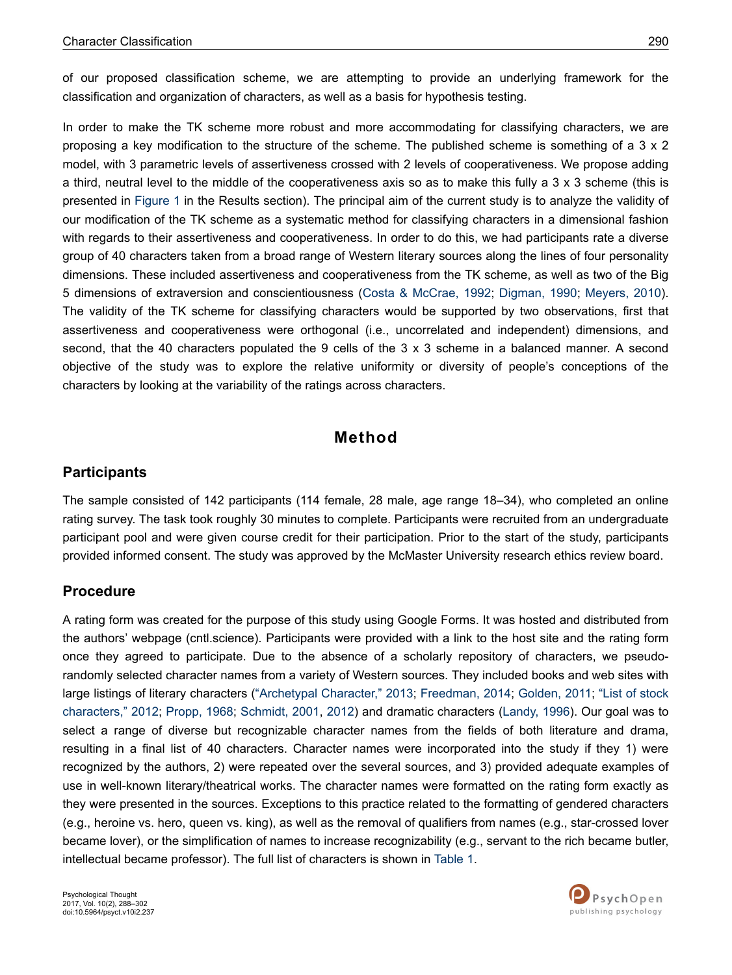of our proposed classification scheme, we are attempting to provide an underlying framework for the classification and organization of characters, as well as a basis for hypothesis testing.

In order to make the TK scheme more robust and more accommodating for classifying characters, we are proposing a key modification to the structure of the scheme. The published scheme is something of a 3 x 2 model, with 3 parametric levels of assertiveness crossed with 2 levels of cooperativeness. We propose adding a third, neutral level to the middle of the cooperativeness axis so as to make this fully a 3 x 3 scheme (this is presented in [Figure 1](#page-6-0) in the Results section). The principal aim of the current study is to analyze the validity of our modification of the TK scheme as a systematic method for classifying characters in a dimensional fashion with regards to their assertiveness and cooperativeness. In order to do this, we had participants rate a diverse group of 40 characters taken from a broad range of Western literary sources along the lines of four personality dimensions. These included assertiveness and cooperativeness from the TK scheme, as well as two of the Big 5 dimensions of extraversion and conscientiousness [\(Costa & McCrae, 1992;](#page-11-0) [Digman, 1990;](#page-11-0) [Meyers, 2010](#page-12-0)). The validity of the TK scheme for classifying characters would be supported by two observations, first that assertiveness and cooperativeness were orthogonal (i.e., uncorrelated and independent) dimensions, and second, that the 40 characters populated the 9 cells of the 3 x 3 scheme in a balanced manner. A second objective of the study was to explore the relative uniformity or diversity of people's conceptions of the characters by looking at the variability of the ratings across characters.

# **Method**

# **Participants**

The sample consisted of 142 participants (114 female, 28 male, age range 18–34), who completed an online rating survey. The task took roughly 30 minutes to complete. Participants were recruited from an undergraduate participant pool and were given course credit for their participation. Prior to the start of the study, participants provided informed consent. The study was approved by the McMaster University research ethics review board.

### **Procedure**

A rating form was created for the purpose of this study using Google Forms. It was hosted and distributed from the authors' webpage (cntl.science). Participants were provided with a link to the host site and the rating form once they agreed to participate. Due to the absence of a scholarly repository of characters, we pseudorandomly selected character names from a variety of Western sources. They included books and web sites with large listings of literary characters (["Archetypal Character," 2013](#page-11-0); [Freedman, 2014;](#page-11-0) [Golden, 2011; "List of stock](#page-12-0) [characters," 2012](#page-12-0); [Propp, 1968;](#page-12-0) [Schmidt, 2001](#page-13-0), [2012](#page-13-0)) and dramatic characters [\(Landy, 1996\)](#page-12-0). Our goal was to select a range of diverse but recognizable character names from the fields of both literature and drama, resulting in a final list of 40 characters. Character names were incorporated into the study if they 1) were recognized by the authors, 2) were repeated over the several sources, and 3) provided adequate examples of use in well-known literary/theatrical works. The character names were formatted on the rating form exactly as they were presented in the sources. Exceptions to this practice related to the formatting of gendered characters (e.g., heroine vs. hero, queen vs. king), as well as the removal of qualifiers from names (e.g., star-crossed lover became lover), or the simplification of names to increase recognizability (e.g., servant to the rich became butler, intellectual became professor). The full list of characters is shown in [Table 1.](#page-3-0)

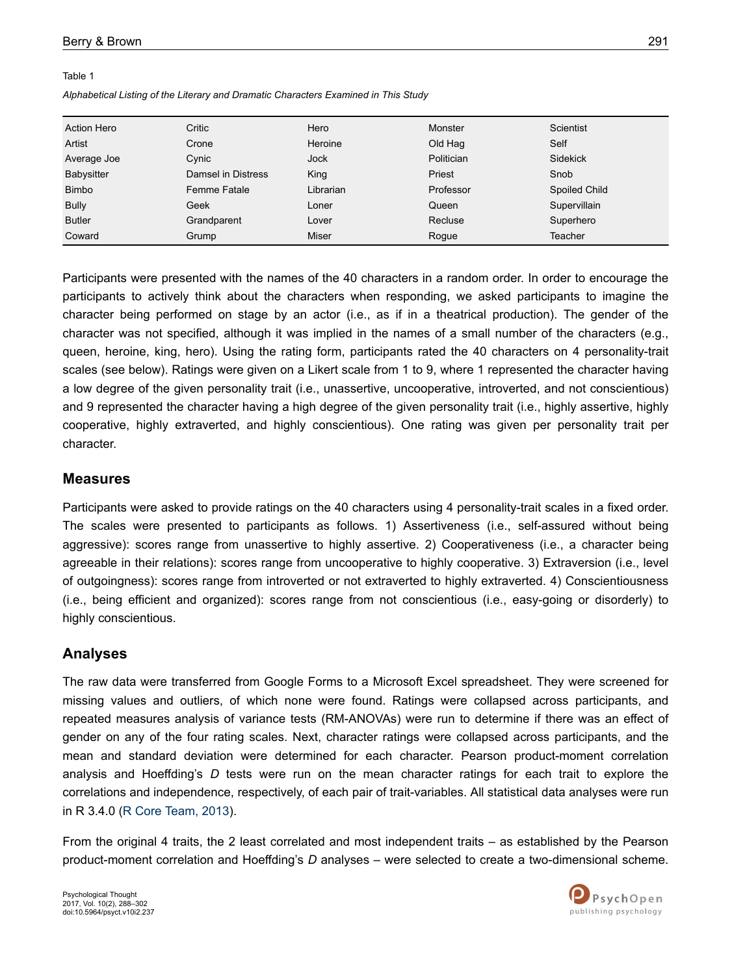#### <span id="page-3-0"></span>Table 1

*Alphabetical Listing of the Literary and Dramatic Characters Examined in This Study*

| <b>Action Hero</b> | Critic             | Hero         | Monster           | Scientist            |
|--------------------|--------------------|--------------|-------------------|----------------------|
| Artist             | Crone              | Heroine      | Old Hag           | Self                 |
| Average Joe        | Cynic              | Jock         | <b>Politician</b> | <b>Sidekick</b>      |
| Babysitter         | Damsel in Distress | King         | Priest            | Snob                 |
| <b>Bimbo</b>       | Femme Fatale       | Librarian    | Professor         | <b>Spoiled Child</b> |
| <b>Bully</b>       | Geek               | Loner        | Queen             | Supervillain         |
| <b>Butler</b>      | Grandparent        | Lover        | Recluse           | Superhero            |
| Coward             | Grump              | <b>Miser</b> | Roque             | Teacher              |

Participants were presented with the names of the 40 characters in a random order. In order to encourage the participants to actively think about the characters when responding, we asked participants to imagine the character being performed on stage by an actor (i.e., as if in a theatrical production). The gender of the character was not specified, although it was implied in the names of a small number of the characters (e.g., queen, heroine, king, hero). Using the rating form, participants rated the 40 characters on 4 personality-trait scales (see below). Ratings were given on a Likert scale from 1 to 9, where 1 represented the character having a low degree of the given personality trait (i.e., unassertive, uncooperative, introverted, and not conscientious) and 9 represented the character having a high degree of the given personality trait (i.e., highly assertive, highly cooperative, highly extraverted, and highly conscientious). One rating was given per personality trait per character.

#### **Measures**

Participants were asked to provide ratings on the 40 characters using 4 personality-trait scales in a fixed order. The scales were presented to participants as follows. 1) Assertiveness (i.e., self-assured without being aggressive): scores range from unassertive to highly assertive. 2) Cooperativeness (i.e., a character being agreeable in their relations): scores range from uncooperative to highly cooperative. 3) Extraversion (i.e., level of outgoingness): scores range from introverted or not extraverted to highly extraverted. 4) Conscientiousness (i.e., being efficient and organized): scores range from not conscientious (i.e., easy-going or disorderly) to highly conscientious.

### **Analyses**

The raw data were transferred from Google Forms to a Microsoft Excel spreadsheet. They were screened for missing values and outliers, of which none were found. Ratings were collapsed across participants, and repeated measures analysis of variance tests (RM-ANOVAs) were run to determine if there was an effect of gender on any of the four rating scales. Next, character ratings were collapsed across participants, and the mean and standard deviation were determined for each character. Pearson product-moment correlation analysis and Hoeffding's *D* tests were run on the mean character ratings for each trait to explore the correlations and independence, respectively, of each pair of trait-variables. All statistical data analyses were run in R 3.4.0 ([R Core Team, 2013\)](#page-13-0).

From the original 4 traits, the 2 least correlated and most independent traits – as established by the Pearson product-moment correlation and Hoeffding's *D* analyses – were selected to create a two-dimensional scheme.

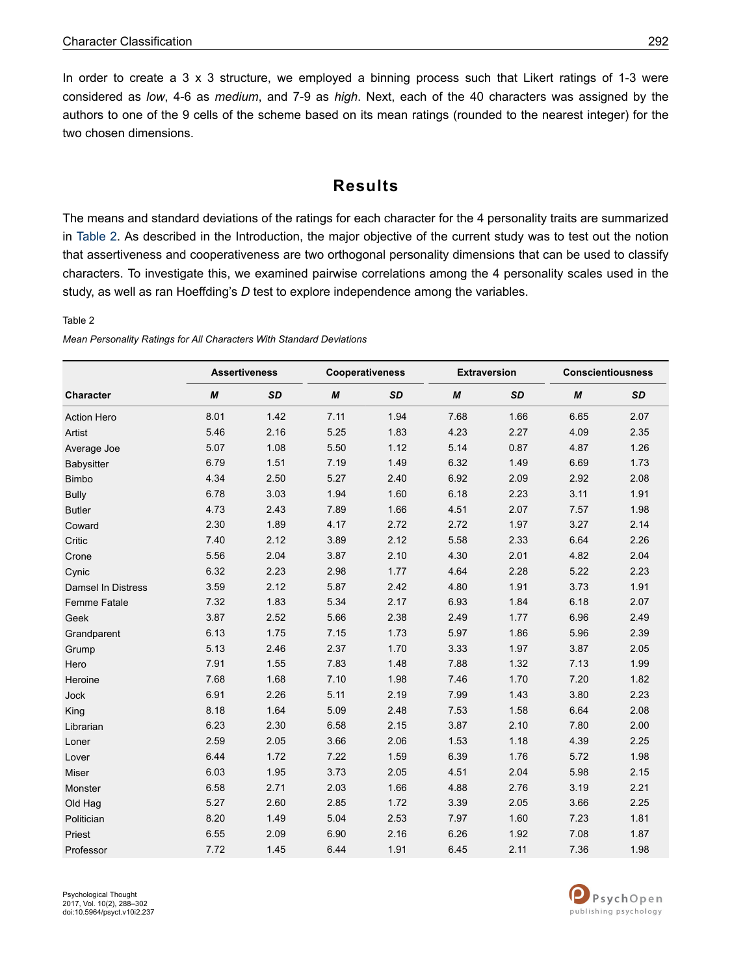In order to create a  $3 \times 3$  structure, we employed a binning process such that Likert ratings of 1-3 were considered as *low*, 4-6 as *medium*, and 7-9 as *high*. Next, each of the 40 characters was assigned by the authors to one of the 9 cells of the scheme based on its mean ratings (rounded to the nearest integer) for the two chosen dimensions.

# **Results**

The means and standard deviations of the ratings for each character for the 4 personality traits are summarized in Table 2. As described in the Introduction, the major objective of the current study was to test out the notion that assertiveness and cooperativeness are two orthogonal personality dimensions that can be used to classify characters. To investigate this, we examined pairwise correlations among the 4 personality scales used in the study, as well as ran Hoeffding's *D* test to explore independence among the variables.

#### Table 2

|                           | <b>Assertiveness</b> |           | Cooperativeness |           | <b>Extraversion</b> |           | <b>Conscientiousness</b> |           |
|---------------------------|----------------------|-----------|-----------------|-----------|---------------------|-----------|--------------------------|-----------|
| <b>Character</b>          | M                    | <b>SD</b> | M               | <b>SD</b> | M                   | <b>SD</b> | M                        | <b>SD</b> |
| <b>Action Hero</b>        | 8.01                 | 1.42      | 7.11            | 1.94      | 7.68                | 1.66      | 6.65                     | 2.07      |
| Artist                    | 5.46                 | 2.16      | 5.25            | 1.83      | 4.23                | 2.27      | 4.09                     | 2.35      |
| Average Joe               | 5.07                 | 1.08      | 5.50            | 1.12      | 5.14                | 0.87      | 4.87                     | 1.26      |
| Babysitter                | 6.79                 | 1.51      | 7.19            | 1.49      | 6.32                | 1.49      | 6.69                     | 1.73      |
| <b>Bimbo</b>              | 4.34                 | 2.50      | 5.27            | 2.40      | 6.92                | 2.09      | 2.92                     | 2.08      |
| <b>Bully</b>              | 6.78                 | 3.03      | 1.94            | 1.60      | 6.18                | 2.23      | 3.11                     | 1.91      |
| <b>Butler</b>             | 4.73                 | 2.43      | 7.89            | 1.66      | 4.51                | 2.07      | 7.57                     | 1.98      |
| Coward                    | 2.30                 | 1.89      | 4.17            | 2.72      | 2.72                | 1.97      | 3.27                     | 2.14      |
| Critic                    | 7.40                 | 2.12      | 3.89            | 2.12      | 5.58                | 2.33      | 6.64                     | 2.26      |
| Crone                     | 5.56                 | 2.04      | 3.87            | 2.10      | 4.30                | 2.01      | 4.82                     | 2.04      |
| Cynic                     | 6.32                 | 2.23      | 2.98            | 1.77      | 4.64                | 2.28      | 5.22                     | 2.23      |
| <b>Damsel In Distress</b> | 3.59                 | 2.12      | 5.87            | 2.42      | 4.80                | 1.91      | 3.73                     | 1.91      |
| Femme Fatale              | 7.32                 | 1.83      | 5.34            | 2.17      | 6.93                | 1.84      | 6.18                     | 2.07      |
| Geek                      | 3.87                 | 2.52      | 5.66            | 2.38      | 2.49                | 1.77      | 6.96                     | 2.49      |
| Grandparent               | 6.13                 | 1.75      | 7.15            | 1.73      | 5.97                | 1.86      | 5.96                     | 2.39      |
| Grump                     | 5.13                 | 2.46      | 2.37            | 1.70      | 3.33                | 1.97      | 3.87                     | 2.05      |
| Hero                      | 7.91                 | 1.55      | 7.83            | 1.48      | 7.88                | 1.32      | 7.13                     | 1.99      |
| Heroine                   | 7.68                 | 1.68      | 7.10            | 1.98      | 7.46                | 1.70      | 7.20                     | 1.82      |
| Jock                      | 6.91                 | 2.26      | 5.11            | 2.19      | 7.99                | 1.43      | 3.80                     | 2.23      |
| King                      | 8.18                 | 1.64      | 5.09            | 2.48      | 7.53                | 1.58      | 6.64                     | 2.08      |
| Librarian                 | 6.23                 | 2.30      | 6.58            | 2.15      | 3.87                | 2.10      | 7.80                     | 2.00      |
| Loner                     | 2.59                 | 2.05      | 3.66            | 2.06      | 1.53                | 1.18      | 4.39                     | 2.25      |
| Lover                     | 6.44                 | 1.72      | 7.22            | 1.59      | 6.39                | 1.76      | 5.72                     | 1.98      |
| Miser                     | 6.03                 | 1.95      | 3.73            | 2.05      | 4.51                | 2.04      | 5.98                     | 2.15      |
| Monster                   | 6.58                 | 2.71      | 2.03            | 1.66      | 4.88                | 2.76      | 3.19                     | 2.21      |
| Old Hag                   | 5.27                 | 2.60      | 2.85            | 1.72      | 3.39                | 2.05      | 3.66                     | 2.25      |
| Politician                | 8.20                 | 1.49      | 5.04            | 2.53      | 7.97                | 1.60      | 7.23                     | 1.81      |
| Priest                    | 6.55                 | 2.09      | 6.90            | 2.16      | 6.26                | 1.92      | 7.08                     | 1.87      |
| Professor                 | 7.72                 | 1.45      | 6.44            | 1.91      | 6.45                | 2.11      | 7.36                     | 1.98      |

*Mean Personality Ratings for All Characters With Standard Deviations*

Psychological Thought 2017, Vol. 10(2), 288–302 doi:10.5964/psyct.v10i2.237

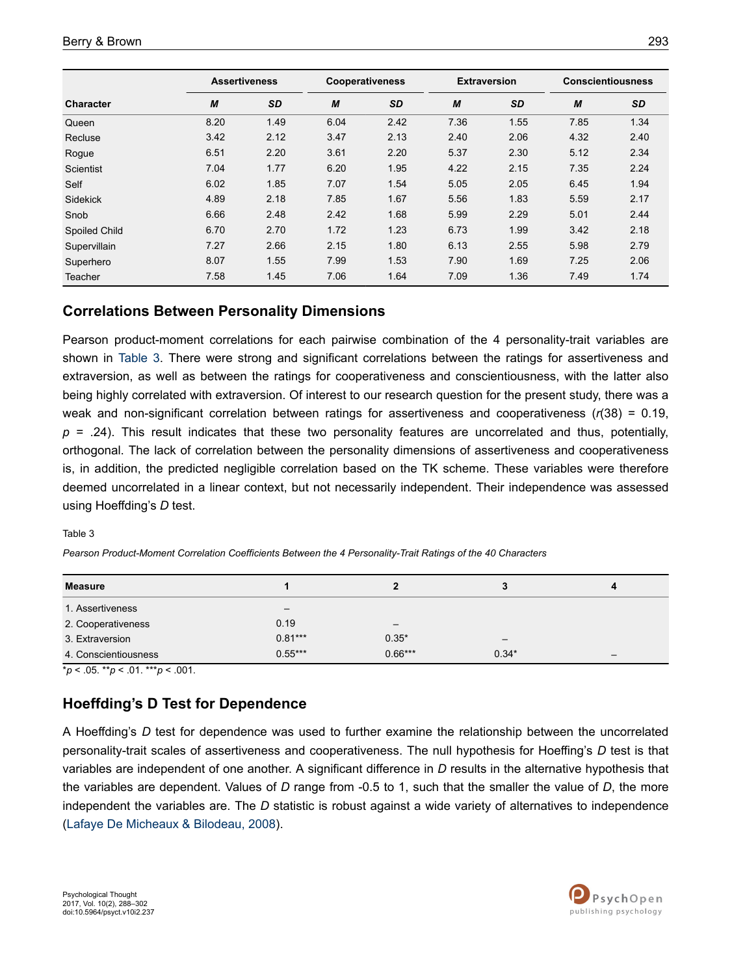|                  | <b>Assertiveness</b> |           | <b>Cooperativeness</b> |           | <b>Extraversion</b> |      | <b>Conscientiousness</b> |      |
|------------------|----------------------|-----------|------------------------|-----------|---------------------|------|--------------------------|------|
| <b>Character</b> | M                    | <b>SD</b> | M                      | <b>SD</b> | M                   | SD   | M                        | SD   |
| Queen            | 8.20                 | 1.49      | 6.04                   | 2.42      | 7.36                | 1.55 | 7.85                     | 1.34 |
| Recluse          | 3.42                 | 2.12      | 3.47                   | 2.13      | 2.40                | 2.06 | 4.32                     | 2.40 |
| Rogue            | 6.51                 | 2.20      | 3.61                   | 2.20      | 5.37                | 2.30 | 5.12                     | 2.34 |
| Scientist        | 7.04                 | 1.77      | 6.20                   | 1.95      | 4.22                | 2.15 | 7.35                     | 2.24 |
| Self             | 6.02                 | 1.85      | 7.07                   | 1.54      | 5.05                | 2.05 | 6.45                     | 1.94 |
| <b>Sidekick</b>  | 4.89                 | 2.18      | 7.85                   | 1.67      | 5.56                | 1.83 | 5.59                     | 2.17 |
| Snob             | 6.66                 | 2.48      | 2.42                   | 1.68      | 5.99                | 2.29 | 5.01                     | 2.44 |
| Spoiled Child    | 6.70                 | 2.70      | 1.72                   | 1.23      | 6.73                | 1.99 | 3.42                     | 2.18 |
| Supervillain     | 7.27                 | 2.66      | 2.15                   | 1.80      | 6.13                | 2.55 | 5.98                     | 2.79 |
| Superhero        | 8.07                 | 1.55      | 7.99                   | 1.53      | 7.90                | 1.69 | 7.25                     | 2.06 |
| <b>Teacher</b>   | 7.58                 | 1.45      | 7.06                   | 1.64      | 7.09                | 1.36 | 7.49                     | 1.74 |

# **Correlations Between Personality Dimensions**

Pearson product-moment correlations for each pairwise combination of the 4 personality-trait variables are shown in Table 3. There were strong and significant correlations between the ratings for assertiveness and extraversion, as well as between the ratings for cooperativeness and conscientiousness, with the latter also being highly correlated with extraversion. Of interest to our research question for the present study, there was a weak and non-significant correlation between ratings for assertiveness and cooperativeness (*r*(38) = 0.19,  $p = 0.24$ ). This result indicates that these two personality features are uncorrelated and thus, potentially, orthogonal. The lack of correlation between the personality dimensions of assertiveness and cooperativeness is, in addition, the predicted negligible correlation based on the TK scheme. These variables were therefore deemed uncorrelated in a linear context, but not necessarily independent. Their independence was assessed using Hoeffding's *D* test.

#### Table 3

*Pearson Product-Moment Correlation Coefficients Between the 4 Personality-Trait Ratings of the 40 Characters*

| <b>Measure</b>       |           |           |                          | 4 |
|----------------------|-----------|-----------|--------------------------|---|
| 1. Assertiveness     |           |           |                          |   |
| 2. Cooperativeness   | 0.19      | -         |                          |   |
| 3. Extraversion      | $0.81***$ | $0.35*$   | $\overline{\phantom{m}}$ |   |
| 4. Conscientiousness | $0.55***$ | $0.66***$ | $0.34*$                  | — |

 $*_{p}$  < .05. \*\**p* < .01. \*\*\**p* < .001.

### **Hoeffding's D Test for Dependence**

A Hoeffding's *D* test for dependence was used to further examine the relationship between the uncorrelated personality-trait scales of assertiveness and cooperativeness. The null hypothesis for Hoeffing's *D* test is that variables are independent of one another. A significant difference in *D* results in the alternative hypothesis that the variables are dependent. Values of *D* range from -0.5 to 1, such that the smaller the value of *D*, the more independent the variables are. The *D* statistic is robust against a wide variety of alternatives to independence [\(Lafaye De Micheaux & Bilodeau, 2008](#page-12-0)).

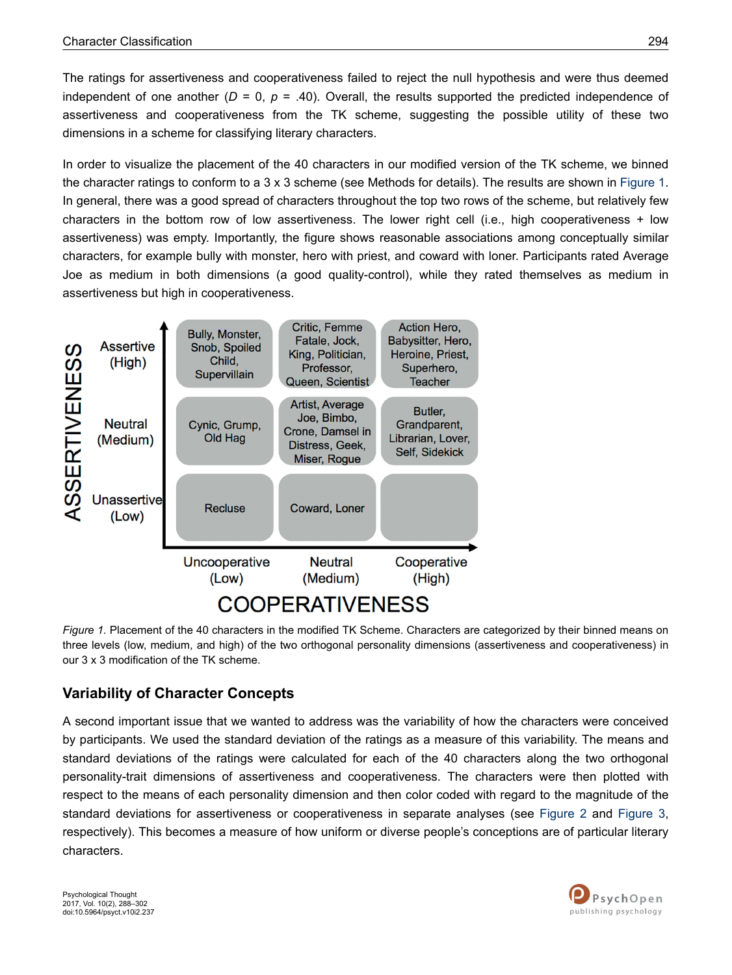<span id="page-6-0"></span>The ratings for assertiveness and cooperativeness failed to reject the null hypothesis and were thus deemed independent of one another  $(D = 0, p = .40)$ . Overall, the results supported the predicted independence of assertiveness and cooperativeness from the TK scheme, suggesting the possible utility of these two dimensions in a scheme for classifying literary characters.

In order to visualize the placement of the 40 characters in our modified version of the TK scheme, we binned the character ratings to conform to a 3 x 3 scheme (see Methods for details). The results are shown in Figure 1. In general, there was a good spread of characters throughout the top two rows of the scheme, but relatively few characters in the bottom row of low assertiveness. The lower right cell (i.e., high cooperativeness + low assertiveness) was empty. Importantly, the figure shows reasonable associations among conceptually similar characters, for example bully with monster, hero with priest, and coward with loner. Participants rated Average Joe as medium in both dimensions (a good quality-control), while they rated themselves as medium in assertiveness but high in cooperativeness.



*Figure 1.* Placement of the 40 characters in the modified TK Scheme. Characters are categorized by their binned means on three levels (low, medium, and high) of the two orthogonal personality dimensions (assertiveness and cooperativeness) in our 3 x 3 modification of the TK scheme.

# **Variability of Character Concepts**

A second important issue that we wanted to address was the variability of how the characters were conceived by participants. We used the standard deviation of the ratings as a measure of this variability. The means and standard deviations of the ratings were calculated for each of the 40 characters along the two orthogonal personality-trait dimensions of assertiveness and cooperativeness. The characters were then plotted with respect to the means of each personality dimension and then color coded with regard to the magnitude of the standard deviations for assertiveness or cooperativeness in separate analyses (see [Figure 2](#page-7-0) and [Figure 3](#page-7-0), respectively). This becomes a measure of how uniform or diverse people's conceptions are of particular literary characters.

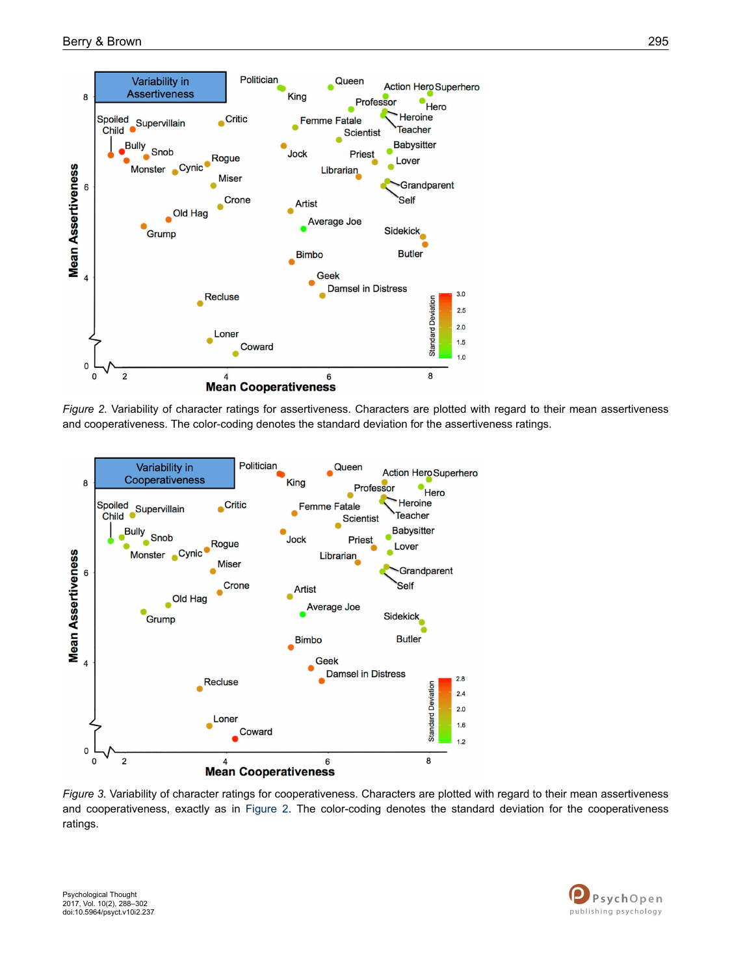<span id="page-7-0"></span>

*Figure 2.* Variability of character ratings for assertiveness. Characters are plotted with regard to their mean assertiveness and cooperativeness. The color-coding denotes the standard deviation for the assertiveness ratings.



*Figure 3.* Variability of character ratings for cooperativeness. Characters are plotted with regard to their mean assertiveness and cooperativeness, exactly as in Figure 2. The color-coding denotes the standard deviation for the cooperativeness ratings.

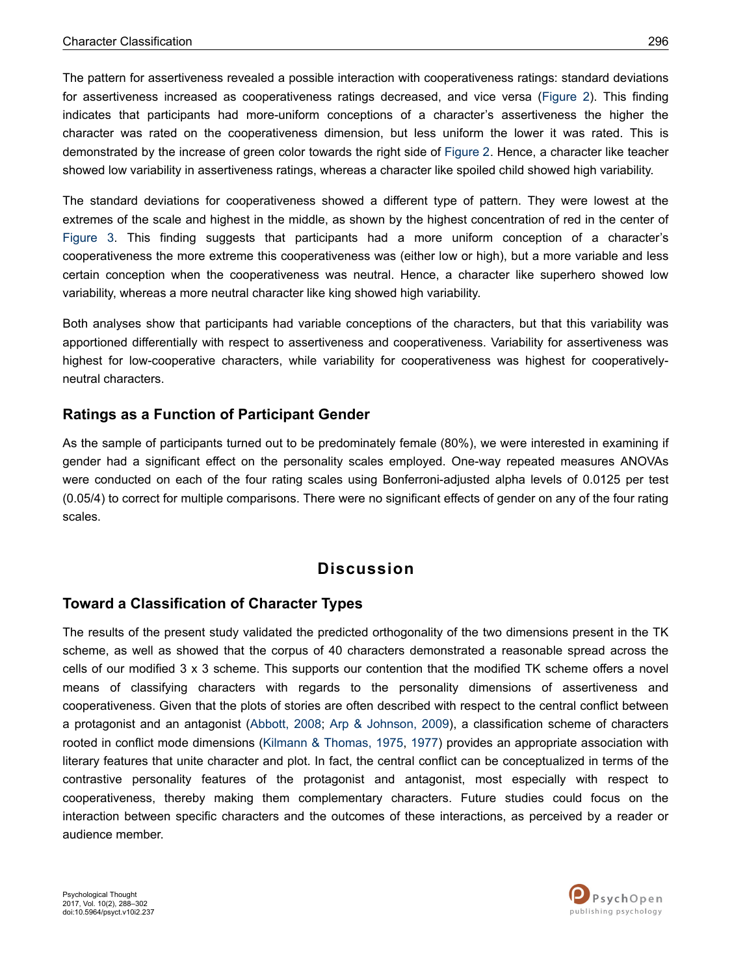The pattern for assertiveness revealed a possible interaction with cooperativeness ratings: standard deviations for assertiveness increased as cooperativeness ratings decreased, and vice versa [\(Figure 2](#page-7-0)). This finding indicates that participants had more-uniform conceptions of a character's assertiveness the higher the character was rated on the cooperativeness dimension, but less uniform the lower it was rated. This is demonstrated by the increase of green color towards the right side of [Figure 2.](#page-7-0) Hence, a character like teacher showed low variability in assertiveness ratings, whereas a character like spoiled child showed high variability.

The standard deviations for cooperativeness showed a different type of pattern. They were lowest at the extremes of the scale and highest in the middle, as shown by the highest concentration of red in the center of [Figure 3.](#page-7-0) This finding suggests that participants had a more uniform conception of a character's cooperativeness the more extreme this cooperativeness was (either low or high), but a more variable and less certain conception when the cooperativeness was neutral. Hence, a character like superhero showed low variability, whereas a more neutral character like king showed high variability.

Both analyses show that participants had variable conceptions of the characters, but that this variability was apportioned differentially with respect to assertiveness and cooperativeness. Variability for assertiveness was highest for low-cooperative characters, while variability for cooperativeness was highest for cooperativelyneutral characters.

### **Ratings as a Function of Participant Gender**

As the sample of participants turned out to be predominately female (80%), we were interested in examining if gender had a significant effect on the personality scales employed. One-way repeated measures ANOVAs were conducted on each of the four rating scales using Bonferroni-adjusted alpha levels of 0.0125 per test (0.05/4) to correct for multiple comparisons. There were no significant effects of gender on any of the four rating scales.

# **Discussion**

#### **Toward a Classification of Character Types**

The results of the present study validated the predicted orthogonality of the two dimensions present in the TK scheme, as well as showed that the corpus of 40 characters demonstrated a reasonable spread across the cells of our modified 3 x 3 scheme. This supports our contention that the modified TK scheme offers a novel means of classifying characters with regards to the personality dimensions of assertiveness and cooperativeness. Given that the plots of stories are often described with respect to the central conflict between a protagonist and an antagonist ([Abbott, 2008;](#page-11-0) [Arp & Johnson, 2009\)](#page-11-0), a classification scheme of characters rooted in conflict mode dimensions [\(Kilmann & Thomas, 1975](#page-12-0), [1977\)](#page-12-0) provides an appropriate association with literary features that unite character and plot. In fact, the central conflict can be conceptualized in terms of the contrastive personality features of the protagonist and antagonist, most especially with respect to cooperativeness, thereby making them complementary characters. Future studies could focus on the interaction between specific characters and the outcomes of these interactions, as perceived by a reader or audience member.

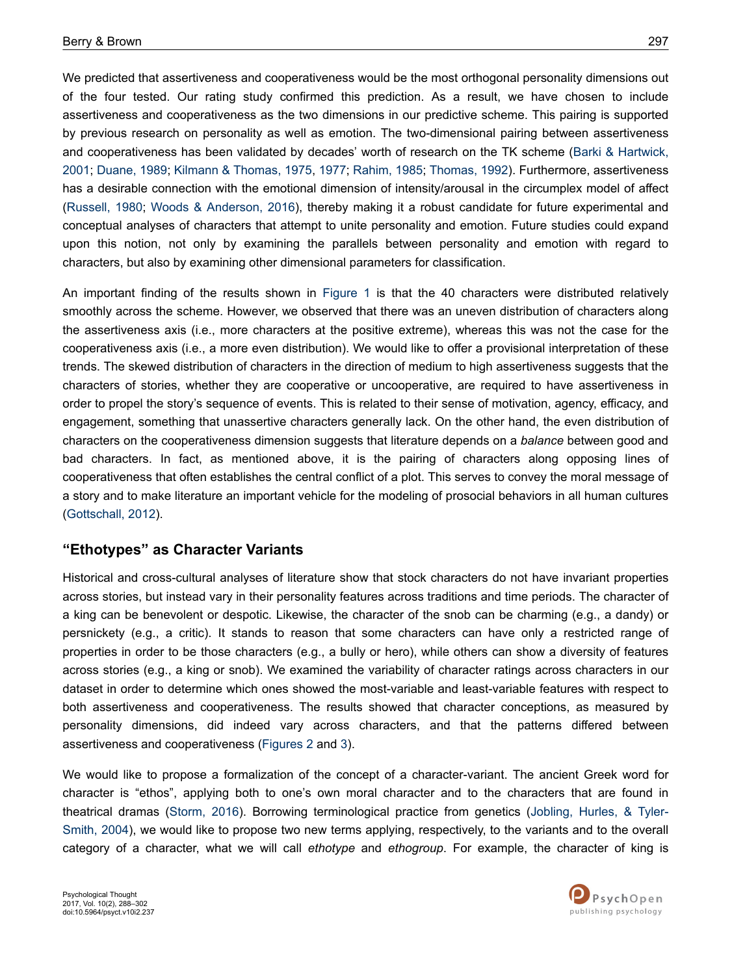We predicted that assertiveness and cooperativeness would be the most orthogonal personality dimensions out of the four tested. Our rating study confirmed this prediction. As a result, we have chosen to include assertiveness and cooperativeness as the two dimensions in our predictive scheme. This pairing is supported by previous research on personality as well as emotion. The two-dimensional pairing between assertiveness and cooperativeness has been validated by decades' worth of research on the TK scheme ([Barki & Hartwick,](#page-11-0) [2001](#page-11-0); [Duane, 1989](#page-11-0); [Kilmann & Thomas, 1975](#page-12-0), [1977; Rahim, 1985](#page-12-0); [Thomas, 1992\)](#page-13-0). Furthermore, assertiveness has a desirable connection with the emotional dimension of intensity/arousal in the circumplex model of affect [\(Russell, 1980](#page-13-0); [Woods & Anderson, 2016](#page-13-0)), thereby making it a robust candidate for future experimental and conceptual analyses of characters that attempt to unite personality and emotion. Future studies could expand upon this notion, not only by examining the parallels between personality and emotion with regard to characters, but also by examining other dimensional parameters for classification.

An important finding of the results shown in [Figure 1](#page-6-0) is that the 40 characters were distributed relatively smoothly across the scheme. However, we observed that there was an uneven distribution of characters along the assertiveness axis (i.e., more characters at the positive extreme), whereas this was not the case for the cooperativeness axis (i.e., a more even distribution). We would like to offer a provisional interpretation of these trends. The skewed distribution of characters in the direction of medium to high assertiveness suggests that the characters of stories, whether they are cooperative or uncooperative, are required to have assertiveness in order to propel the story's sequence of events. This is related to their sense of motivation, agency, efficacy, and engagement, something that unassertive characters generally lack. On the other hand, the even distribution of characters on the cooperativeness dimension suggests that literature depends on a *balance* between good and bad characters. In fact, as mentioned above, it is the pairing of characters along opposing lines of cooperativeness that often establishes the central conflict of a plot. This serves to convey the moral message of a story and to make literature an important vehicle for the modeling of prosocial behaviors in all human cultures [\(Gottschall, 2012\)](#page-12-0).

#### **"Ethotypes" as Character Variants**

Historical and cross-cultural analyses of literature show that stock characters do not have invariant properties across stories, but instead vary in their personality features across traditions and time periods. The character of a king can be benevolent or despotic. Likewise, the character of the snob can be charming (e.g., a dandy) or persnickety (e.g., a critic). It stands to reason that some characters can have only a restricted range of properties in order to be those characters (e.g., a bully or hero), while others can show a diversity of features across stories (e.g., a king or snob). We examined the variability of character ratings across characters in our dataset in order to determine which ones showed the most-variable and least-variable features with respect to both assertiveness and cooperativeness. The results showed that character conceptions, as measured by personality dimensions, did indeed vary across characters, and that the patterns differed between assertiveness and cooperativeness [\(Figures 2](#page-7-0) and [3\)](#page-7-0).

We would like to propose a formalization of the concept of a character-variant. The ancient Greek word for character is "ethos", applying both to one's own moral character and to the characters that are found in theatrical dramas ([Storm, 2016](#page-13-0)). Borrowing terminological practice from genetics ([Jobling, Hurles, & Tyler-](#page-12-0)[Smith, 2004\)](#page-12-0), we would like to propose two new terms applying, respectively, to the variants and to the overall category of a character, what we will call *ethotype* and *ethogroup*. For example, the character of king is

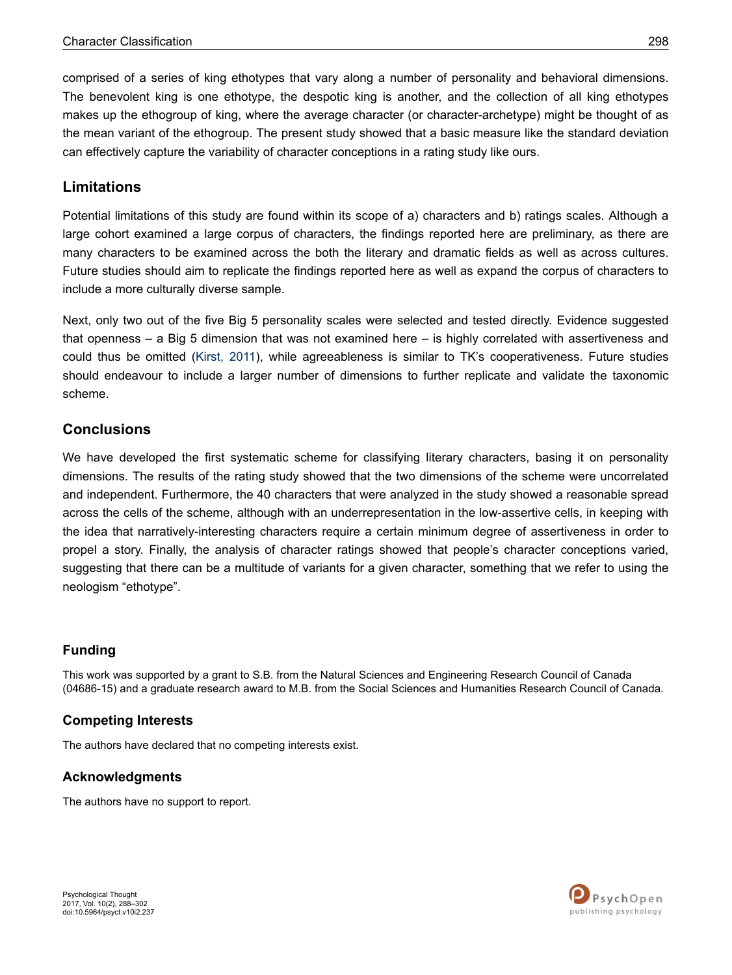comprised of a series of king ethotypes that vary along a number of personality and behavioral dimensions. The benevolent king is one ethotype, the despotic king is another, and the collection of all king ethotypes makes up the ethogroup of king, where the average character (or character-archetype) might be thought of as the mean variant of the ethogroup. The present study showed that a basic measure like the standard deviation can effectively capture the variability of character conceptions in a rating study like ours.

### **Limitations**

Potential limitations of this study are found within its scope of a) characters and b) ratings scales. Although a large cohort examined a large corpus of characters, the findings reported here are preliminary, as there are many characters to be examined across the both the literary and dramatic fields as well as across cultures. Future studies should aim to replicate the findings reported here as well as expand the corpus of characters to include a more culturally diverse sample.

Next, only two out of the five Big 5 personality scales were selected and tested directly. Evidence suggested that openness – a Big 5 dimension that was not examined here – is highly correlated with assertiveness and could thus be omitted [\(Kirst, 2011](#page-12-0)), while agreeableness is similar to TK's cooperativeness. Future studies should endeavour to include a larger number of dimensions to further replicate and validate the taxonomic scheme.

#### **Conclusions**

We have developed the first systematic scheme for classifying literary characters, basing it on personality dimensions. The results of the rating study showed that the two dimensions of the scheme were uncorrelated and independent. Furthermore, the 40 characters that were analyzed in the study showed a reasonable spread across the cells of the scheme, although with an underrepresentation in the low-assertive cells, in keeping with the idea that narratively-interesting characters require a certain minimum degree of assertiveness in order to propel a story. Finally, the analysis of character ratings showed that people's character conceptions varied, suggesting that there can be a multitude of variants for a given character, something that we refer to using the neologism "ethotype".

#### **Funding**

This work was supported by a grant to S.B. from the Natural Sciences and Engineering Research Council of Canada (04686-15) and a graduate research award to M.B. from the Social Sciences and Humanities Research Council of Canada.

#### **Competing Interests**

The authors have declared that no competing interests exist.

#### **Acknowledgments**

The authors have no support to report.

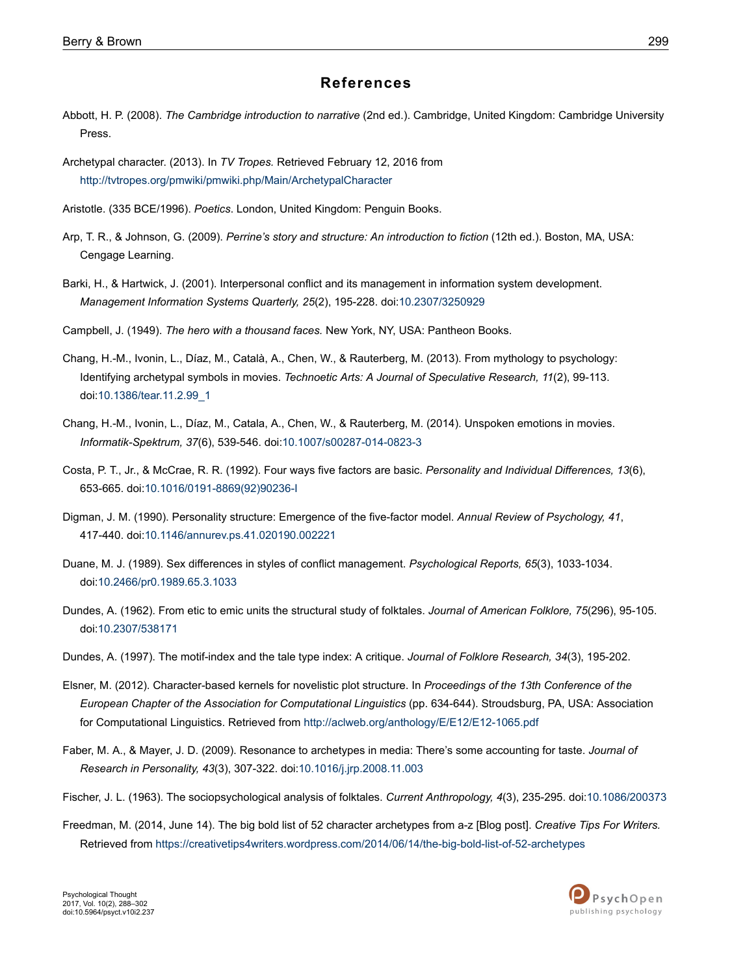#### **References**

- <span id="page-11-0"></span>Abbott, H. P. (2008). *The Cambridge introduction to narrative* (2nd ed.). Cambridge, United Kingdom: Cambridge University Press.
- Archetypal character. (2013). In *TV Tropes.* Retrieved February 12, 2016 from <http://tvtropes.org/pmwiki/pmwiki.php/Main/ArchetypalCharacter>
- Aristotle. (335 BCE/1996). *Poetics*. London, United Kingdom: Penguin Books.
- Arp, T. R., & Johnson, G. (2009). *Perrine's story and structure: An introduction to fiction* (12th ed.). Boston, MA, USA: Cengage Learning.
- Barki, H., & Hartwick, J. (2001). Interpersonal conflict and its management in information system development. *Management Information Systems Quarterly, 25*(2), 195-228. doi:[10.2307/3250929](http://doi.org/10.2307/3250929)
- Campbell, J. (1949). *The hero with a thousand faces.* New York, NY, USA: Pantheon Books.
- Chang, H.-M., Ivonin, L., Díaz, M., Català, A., Chen, W., & Rauterberg, M. (2013). From mythology to psychology: Identifying archetypal symbols in movies. *Technoetic Arts: A Journal of Speculative Research, 11*(2), 99-113. doi:[10.1386/tear.11.2.99\\_1](http://doi.org/10.1386/tear.11.2.99_1)
- Chang, H.-M., Ivonin, L., Díaz, M., Catala, A., Chen, W., & Rauterberg, M. (2014). Unspoken emotions in movies. *Informatik-Spektrum, 37*(6), 539-546. doi:[10.1007/s00287-014-0823-3](http://doi.org/10.1007/s00287-014-0823-3)
- Costa, P. T., Jr., & McCrae, R. R. (1992). Four ways five factors are basic. *Personality and Individual Differences, 13*(6), 653-665. doi:10.1016/0191-8869(92)90236-I
- Digman, J. M. (1990). Personality structure: Emergence of the five-factor model. *Annual Review of Psychology, 41*, 417-440. doi:[10.1146/annurev.ps.41.020190.002221](http://doi.org/10.1146/annurev.ps.41.020190.002221)
- Duane, M. J. (1989). Sex differences in styles of conflict management. *Psychological Reports, 65*(3), 1033-1034. doi:[10.2466/pr0.1989.65.3.1033](http://doi.org/10.2466/pr0.1989.65.3.1033)
- Dundes, A. (1962). From etic to emic units the structural study of folktales. *Journal of American Folklore, 75*(296), 95-105. doi:[10.2307/538171](http://doi.org/10.2307/538171)
- Dundes, A. (1997). The motif-index and the tale type index: A critique. *Journal of Folklore Research, 34*(3), 195-202.
- Elsner, M. (2012). Character-based kernels for novelistic plot structure. In *Proceedings of the 13th Conference of the European Chapter of the Association for Computational Linguistics* (pp. 634-644). Stroudsburg, PA, USA: Association for Computational Linguistics. Retrieved from<http://aclweb.org/anthology/E/E12/E12-1065.pdf>
- Faber, M. A., & Mayer, J. D. (2009). Resonance to archetypes in media: There's some accounting for taste. *Journal of Research in Personality, 43*(3), 307-322. doi[:10.1016/j.jrp.2008.11.003](http://doi.org/10.1016/j.jrp.2008.11.003)
- Fischer, J. L. (1963). The sociopsychological analysis of folktales. *Current Anthropology, 4*(3), 235-295. doi:[10.1086/200373](http://doi.org/10.1086/200373)
- Freedman, M. (2014, June 14). The big bold list of 52 character archetypes from a-z [Blog post]. *Creative Tips For Writers.* Retrieved from <https://creativetips4writers.wordpress.com/2014/06/14/the-big-bold-list-of-52-archetypes>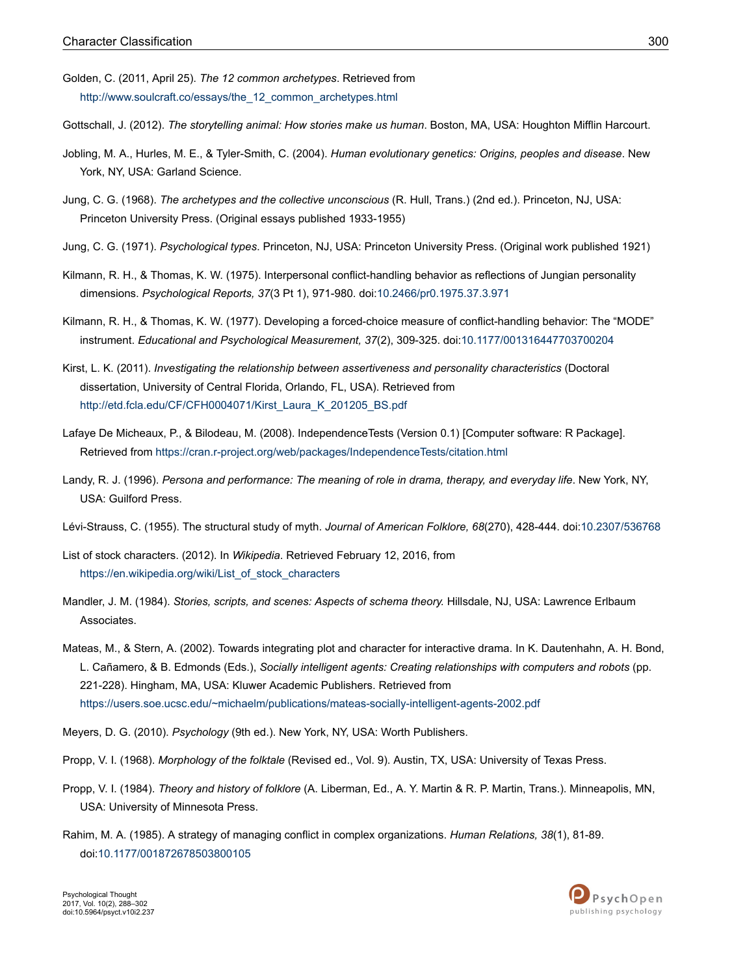- <span id="page-12-0"></span>Golden, C. (2011, April 25). *The 12 common archetypes*. Retrieved from [http://www.soulcraft.co/essays/the\\_12\\_common\\_archetypes.html](http://www.soulcraft.co/essays/the_12_common_archetypes.html)
- Gottschall, J. (2012). *The storytelling animal: How stories make us human*. Boston, MA, USA: Houghton Mifflin Harcourt.
- Jobling, M. A., Hurles, M. E., & Tyler-Smith, C. (2004). *Human evolutionary genetics: Origins, peoples and disease*. New York, NY, USA: Garland Science.
- Jung, C. G. (1968). *The archetypes and the collective unconscious* (R. Hull, Trans.) (2nd ed.). Princeton, NJ, USA: Princeton University Press. (Original essays published 1933-1955)
- Jung, C. G. (1971). *Psychological types*. Princeton, NJ, USA: Princeton University Press. (Original work published 1921)
- Kilmann, R. H., & Thomas, K. W. (1975). Interpersonal conflict-handling behavior as reflections of Jungian personality dimensions. *Psychological Reports, 37*(3 Pt 1), 971-980. doi:[10.2466/pr0.1975.37.3.971](http://doi.org/10.2466/pr0.1975.37.3.971)
- Kilmann, R. H., & Thomas, K. W. (1977). Developing a forced-choice measure of conflict-handling behavior: The "MODE" instrument. *Educational and Psychological Measurement, 37*(2), 309-325. doi[:10.1177/001316447703700204](http://doi.org/10.1177/001316447703700204)
- Kirst, L. K. (2011). *Investigating the relationship between assertiveness and personality characteristics* (Doctoral dissertation, University of Central Florida, Orlando, FL, USA). Retrieved from [http://etd.fcla.edu/CF/CFH0004071/Kirst\\_Laura\\_K\\_201205\\_BS.pdf](http://etd.fcla.edu/CF/CFH0004071/Kirst_Laura_K_201205_BS.pdf)
- Lafaye De Micheaux, P., & Bilodeau, M. (2008). IndependenceTests (Version 0.1) [Computer software: R Package]. Retrieved from <https://cran.r-project.org/web/packages/IndependenceTests/citation.html>
- Landy, R. J. (1996). *Persona and performance: The meaning of role in drama, therapy, and everyday life*. New York, NY, USA: Guilford Press.
- Lévi-Strauss, C. (1955). The structural study of myth. *Journal of American Folklore, 68*(270), 428-444. doi:[10.2307/536768](http://doi.org/10.2307/536768)
- List of stock characters. (2012). In *Wikipedia*. Retrieved February 12, 2016, from [https://en.wikipedia.org/wiki/List\\_of\\_stock\\_characters](https://en.wikipedia.org/wiki/List_of_stock_characters)
- Mandler, J. M. (1984). *Stories, scripts, and scenes: Aspects of schema theory.* Hillsdale, NJ, USA: Lawrence Erlbaum Associates.
- Mateas, M., & Stern, A. (2002). Towards integrating plot and character for interactive drama. In K. Dautenhahn, A. H. Bond, L. Cañamero, & B. Edmonds (Eds.), *Socially intelligent agents: Creating relationships with computers and robots* (pp. 221-228). Hingham, MA, USA: Kluwer Academic Publishers. Retrieved from <https://users.soe.ucsc.edu/~michaelm/publications/mateas-socially-intelligent-agents-2002.pdf>
- Meyers, D. G. (2010). *Psychology* (9th ed.). New York, NY, USA: Worth Publishers.
- Propp, V. I. (1968). *Morphology of the folktale* (Revised ed., Vol. 9). Austin, TX, USA: University of Texas Press.
- Propp, V. I. (1984). *Theory and history of folklore* (A. Liberman, Ed., A. Y. Martin & R. P. Martin, Trans.). Minneapolis, MN, USA: University of Minnesota Press.
- Rahim, M. A. (1985). A strategy of managing conflict in complex organizations. *Human Relations, 38*(1), 81-89. doi:[10.1177/001872678503800105](http://doi.org/10.1177/001872678503800105)

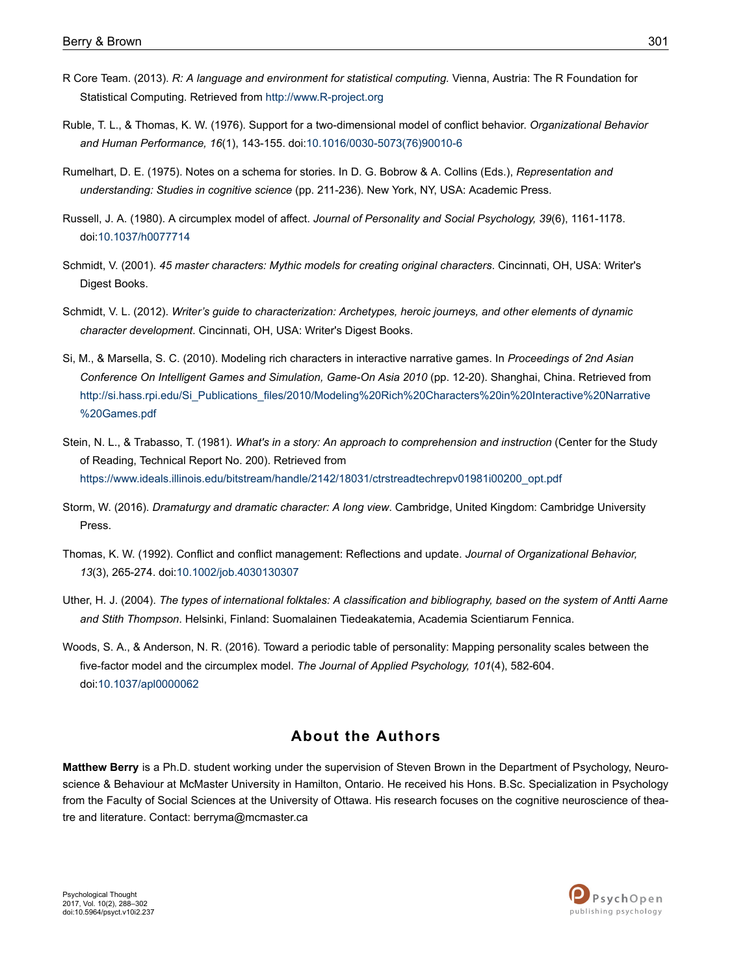- <span id="page-13-0"></span>R Core Team. (2013). *R: A language and environment for statistical computing.* Vienna, Austria: The R Foundation for Statistical Computing. Retrieved from<http://www.R-project.org>
- Ruble, T. L., & Thomas, K. W. (1976). Support for a two-dimensional model of conflict behavior. *Organizational Behavior and Human Performance, 16*(1), 143-155. doi:10.1016/0030-5073(76)90010-6
- Rumelhart, D. E. (1975). Notes on a schema for stories. In D. G. Bobrow & A. Collins (Eds.), *Representation and understanding: Studies in cognitive science* (pp. 211-236). New York, NY, USA: Academic Press.
- Russell, J. A. (1980). A circumplex model of affect. *Journal of Personality and Social Psychology, 39*(6), 1161-1178. doi:[10.1037/h0077714](http://doi.org/10.1037/h0077714)
- Schmidt, V. (2001). *45 master characters: Mythic models for creating original characters*. Cincinnati, OH, USA: Writer's Digest Books.
- Schmidt, V. L. (2012). *Writer's guide to characterization: Archetypes, heroic journeys, and other elements of dynamic character development*. Cincinnati, OH, USA: Writer's Digest Books.
- Si, M., & Marsella, S. C. (2010). Modeling rich characters in interactive narrative games. In *Proceedings of 2nd Asian Conference On Intelligent Games and Simulation, Game-On Asia 2010* (pp. 12-20). Shanghai, China. Retrieved from [http://si.hass.rpi.edu/Si\\_Publications\\_files/2010/Modeling%20Rich%20Characters%20in%20Interactive%20Narrative](http://si.hass.rpi.edu/Si_Publications_files/2010/Modeling%20Rich%20Characters%20in%20Interactive%20Narrative%20Games.pdf) [%20Games.pdf](http://si.hass.rpi.edu/Si_Publications_files/2010/Modeling%20Rich%20Characters%20in%20Interactive%20Narrative%20Games.pdf)
- Stein, N. L., & Trabasso, T. (1981). *What's in a story: An approach to comprehension and instruction* (Center for the Study of Reading, Technical Report No. 200). Retrieved from [https://www.ideals.illinois.edu/bitstream/handle/2142/18031/ctrstreadtechrepv01981i00200\\_opt.pdf](https://www.ideals.illinois.edu/bitstream/handle/2142/18031/ctrstreadtechrepv01981i00200_opt.pdf)
- Storm, W. (2016). *Dramaturgy and dramatic character: A long view*. Cambridge, United Kingdom: Cambridge University Press.
- Thomas, K. W. (1992). Conflict and conflict management: Reflections and update. *Journal of Organizational Behavior, 13*(3), 265-274. doi:[10.1002/job.4030130307](http://doi.org/10.1002/job.4030130307)
- Uther, H. J. (2004). *The types of international folktales: A classification and bibliography, based on the system of Antti Aarne and Stith Thompson*. Helsinki, Finland: Suomalainen Tiedeakatemia, Academia Scientiarum Fennica.
- Woods, S. A., & Anderson, N. R. (2016). Toward a periodic table of personality: Mapping personality scales between the five-factor model and the circumplex model. *The Journal of Applied Psychology, 101*(4), 582-604. doi:[10.1037/apl0000062](http://doi.org/10.1037/apl0000062)

### **About the Authors**

**Matthew Berry** is a Ph.D. student working under the supervision of Steven Brown in the Department of Psychology, Neuroscience & Behaviour at McMaster University in Hamilton, Ontario. He received his Hons. B.Sc. Specialization in Psychology from the Faculty of Social Sciences at the University of Ottawa. His research focuses on the cognitive neuroscience of theatre and literature. Contact: berryma@mcmaster.ca